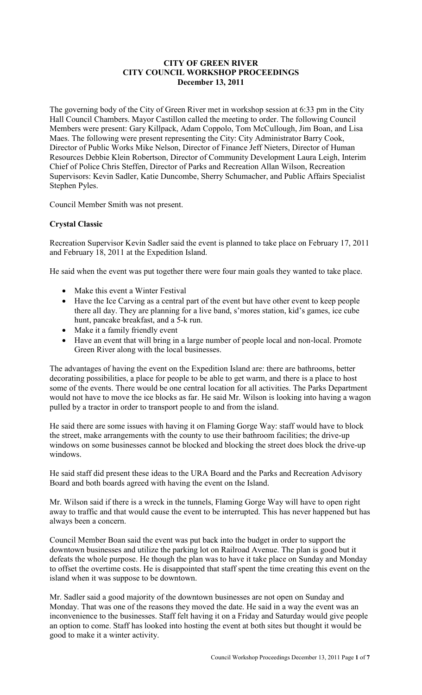## **CITY OF GREEN RIVER CITY COUNCIL WORKSHOP PROCEEDINGS December 13, 2011**

The governing body of the City of Green River met in workshop session at 6:33 pm in the City Hall Council Chambers. Mayor Castillon called the meeting to order. The following Council Members were present: Gary Killpack, Adam Coppolo, Tom McCullough, Jim Boan, and Lisa Maes. The following were present representing the City: City Administrator Barry Cook, Director of Public Works Mike Nelson, Director of Finance Jeff Nieters, Director of Human Resources Debbie Klein Robertson, Director of Community Development Laura Leigh, Interim Chief of Police Chris Steffen, Director of Parks and Recreation Allan Wilson, Recreation Supervisors: Kevin Sadler, Katie Duncombe, Sherry Schumacher, and Public Affairs Specialist Stephen Pyles.

Council Member Smith was not present.

## **Crystal Classic**

Recreation Supervisor Kevin Sadler said the event is planned to take place on February 17, 2011 and February 18, 2011 at the Expedition Island.

He said when the event was put together there were four main goals they wanted to take place.

- Make this event a Winter Festival
- Have the Ice Carving as a central part of the event but have other event to keep people there all day. They are planning for a live band, s'mores station, kid's games, ice cube hunt, pancake breakfast, and a 5-k run.
- Make it a family friendly event
- Have an event that will bring in a large number of people local and non-local. Promote Green River along with the local businesses.

The advantages of having the event on the Expedition Island are: there are bathrooms, better decorating possibilities, a place for people to be able to get warm, and there is a place to host some of the events. There would be one central location for all activities. The Parks Department would not have to move the ice blocks as far. He said Mr. Wilson is looking into having a wagon pulled by a tractor in order to transport people to and from the island.

He said there are some issues with having it on Flaming Gorge Way: staff would have to block the street, make arrangements with the county to use their bathroom facilities; the drive-up windows on some businesses cannot be blocked and blocking the street does block the drive-up windows.

He said staff did present these ideas to the URA Board and the Parks and Recreation Advisory Board and both boards agreed with having the event on the Island.

Mr. Wilson said if there is a wreck in the tunnels, Flaming Gorge Way will have to open right away to traffic and that would cause the event to be interrupted. This has never happened but has always been a concern.

Council Member Boan said the event was put back into the budget in order to support the downtown businesses and utilize the parking lot on Railroad Avenue. The plan is good but it defeats the whole purpose. He though the plan was to have it take place on Sunday and Monday to offset the overtime costs. He is disappointed that staff spent the time creating this event on the island when it was suppose to be downtown.

Mr. Sadler said a good majority of the downtown businesses are not open on Sunday and Monday. That was one of the reasons they moved the date. He said in a way the event was an inconvenience to the businesses. Staff felt having it on a Friday and Saturday would give people an option to come. Staff has looked into hosting the event at both sites but thought it would be good to make it a winter activity.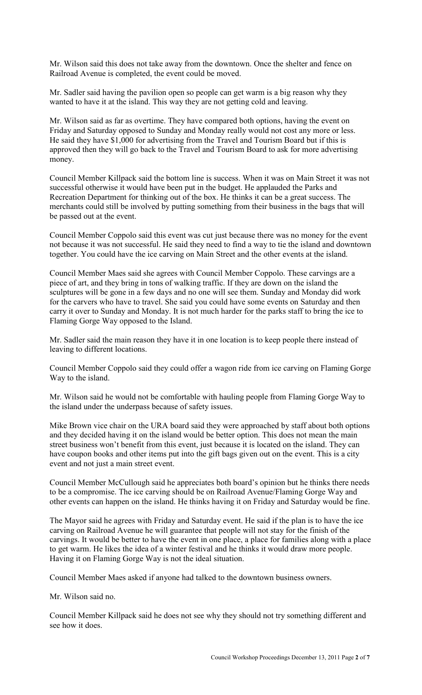Mr. Wilson said this does not take away from the downtown. Once the shelter and fence on Railroad Avenue is completed, the event could be moved.

Mr. Sadler said having the pavilion open so people can get warm is a big reason why they wanted to have it at the island. This way they are not getting cold and leaving.

Mr. Wilson said as far as overtime. They have compared both options, having the event on Friday and Saturday opposed to Sunday and Monday really would not cost any more or less. He said they have \$1,000 for advertising from the Travel and Tourism Board but if this is approved then they will go back to the Travel and Tourism Board to ask for more advertising money.

Council Member Killpack said the bottom line is success. When it was on Main Street it was not successful otherwise it would have been put in the budget. He applauded the Parks and Recreation Department for thinking out of the box. He thinks it can be a great success. The merchants could still be involved by putting something from their business in the bags that will be passed out at the event.

Council Member Coppolo said this event was cut just because there was no money for the event not because it was not successful. He said they need to find a way to tie the island and downtown together. You could have the ice carving on Main Street and the other events at the island.

Council Member Maes said she agrees with Council Member Coppolo. These carvings are a piece of art, and they bring in tons of walking traffic. If they are down on the island the sculptures will be gone in a few days and no one will see them. Sunday and Monday did work for the carvers who have to travel. She said you could have some events on Saturday and then carry it over to Sunday and Monday. It is not much harder for the parks staff to bring the ice to Flaming Gorge Way opposed to the Island.

Mr. Sadler said the main reason they have it in one location is to keep people there instead of leaving to different locations.

Council Member Coppolo said they could offer a wagon ride from ice carving on Flaming Gorge Way to the island.

Mr. Wilson said he would not be comfortable with hauling people from Flaming Gorge Way to the island under the underpass because of safety issues.

Mike Brown vice chair on the URA board said they were approached by staff about both options and they decided having it on the island would be better option. This does not mean the main street business won't benefit from this event, just because it is located on the island. They can have coupon books and other items put into the gift bags given out on the event. This is a city event and not just a main street event.

Council Member McCullough said he appreciates both board's opinion but he thinks there needs to be a compromise. The ice carving should be on Railroad Avenue/Flaming Gorge Way and other events can happen on the island. He thinks having it on Friday and Saturday would be fine.

The Mayor said he agrees with Friday and Saturday event. He said if the plan is to have the ice carving on Railroad Avenue he will guarantee that people will not stay for the finish of the carvings. It would be better to have the event in one place, a place for families along with a place to get warm. He likes the idea of a winter festival and he thinks it would draw more people. Having it on Flaming Gorge Way is not the ideal situation.

Council Member Maes asked if anyone had talked to the downtown business owners.

Mr. Wilson said no.

Council Member Killpack said he does not see why they should not try something different and see how it does.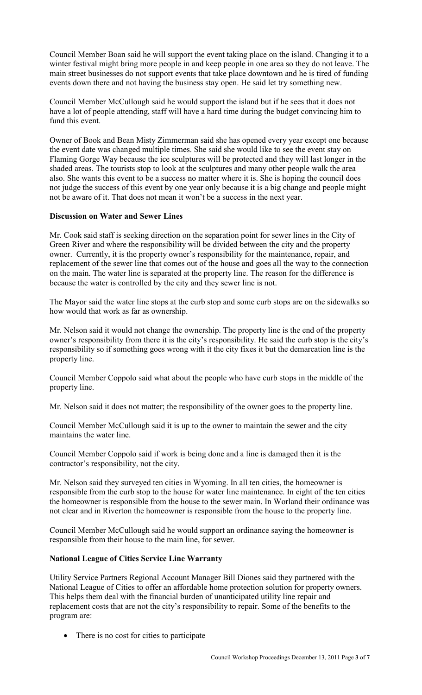Council Member Boan said he will support the event taking place on the island. Changing it to a winter festival might bring more people in and keep people in one area so they do not leave. The main street businesses do not support events that take place downtown and he is tired of funding events down there and not having the business stay open. He said let try something new.

Council Member McCullough said he would support the island but if he sees that it does not have a lot of people attending, staff will have a hard time during the budget convincing him to fund this event.

Owner of Book and Bean Misty Zimmerman said she has opened every year except one because the event date was changed multiple times. She said she would like to see the event stay on Flaming Gorge Way because the ice sculptures will be protected and they will last longer in the shaded areas. The tourists stop to look at the sculptures and many other people walk the area also. She wants this event to be a success no matter where it is. She is hoping the council does not judge the success of this event by one year only because it is a big change and people might not be aware of it. That does not mean it won't be a success in the next year.

## **Discussion on Water and Sewer Lines**

Mr. Cook said staff is seeking direction on the separation point for sewer lines in the City of Green River and where the responsibility will be divided between the city and the property owner. Currently, it is the property owner's responsibility for the maintenance, repair, and replacement of the sewer line that comes out of the house and goes all the way to the connection on the main. The water line is separated at the property line. The reason for the difference is because the water is controlled by the city and they sewer line is not.

The Mayor said the water line stops at the curb stop and some curb stops are on the sidewalks so how would that work as far as ownership.

Mr. Nelson said it would not change the ownership. The property line is the end of the property owner's responsibility from there it is the city's responsibility. He said the curb stop is the city's responsibility so if something goes wrong with it the city fixes it but the demarcation line is the property line.

Council Member Coppolo said what about the people who have curb stops in the middle of the property line.

Mr. Nelson said it does not matter; the responsibility of the owner goes to the property line.

Council Member McCullough said it is up to the owner to maintain the sewer and the city maintains the water line.

Council Member Coppolo said if work is being done and a line is damaged then it is the contractor's responsibility, not the city.

Mr. Nelson said they surveyed ten cities in Wyoming. In all ten cities, the homeowner is responsible from the curb stop to the house for water line maintenance. In eight of the ten cities the homeowner is responsible from the house to the sewer main. In Worland their ordinance was not clear and in Riverton the homeowner is responsible from the house to the property line.

Council Member McCullough said he would support an ordinance saying the homeowner is responsible from their house to the main line, for sewer.

## **National League of Cities Service Line Warranty**

Utility Service Partners Regional Account Manager Bill Diones said they partnered with the National League of Cities to offer an affordable home protection solution for property owners. This helps them deal with the financial burden of unanticipated utility line repair and replacement costs that are not the city's responsibility to repair. Some of the benefits to the program are:

• There is no cost for cities to participate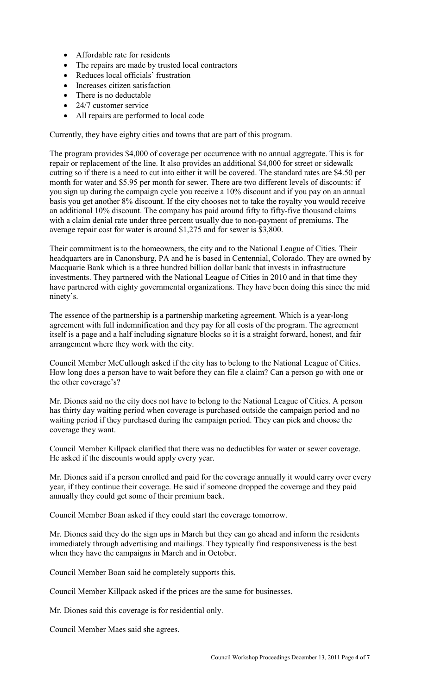- Affordable rate for residents
- The repairs are made by trusted local contractors
- Reduces local officials' frustration
- Increases citizen satisfaction
- There is no deductable
- 24/7 customer service
- All repairs are performed to local code

Currently, they have eighty cities and towns that are part of this program.

The program provides \$4,000 of coverage per occurrence with no annual aggregate. This is for repair or replacement of the line. It also provides an additional \$4,000 for street or sidewalk cutting so if there is a need to cut into either it will be covered. The standard rates are \$4.50 per month for water and \$5.95 per month for sewer. There are two different levels of discounts: if you sign up during the campaign cycle you receive a 10% discount and if you pay on an annual basis you get another 8% discount. If the city chooses not to take the royalty you would receive an additional 10% discount. The company has paid around fifty to fifty-five thousand claims with a claim denial rate under three percent usually due to non-payment of premiums. The average repair cost for water is around \$1,275 and for sewer is \$3,800.

Their commitment is to the homeowners, the city and to the National League of Cities. Their headquarters are in Canonsburg, PA and he is based in Centennial, Colorado. They are owned by Macquarie Bank which is a three hundred billion dollar bank that invests in infrastructure investments. They partnered with the National League of Cities in 2010 and in that time they have partnered with eighty governmental organizations. They have been doing this since the mid ninety's.

The essence of the partnership is a partnership marketing agreement. Which is a year-long agreement with full indemnification and they pay for all costs of the program. The agreement itself is a page and a half including signature blocks so it is a straight forward, honest, and fair arrangement where they work with the city.

Council Member McCullough asked if the city has to belong to the National League of Cities. How long does a person have to wait before they can file a claim? Can a person go with one or the other coverage's?

Mr. Diones said no the city does not have to belong to the National League of Cities. A person has thirty day waiting period when coverage is purchased outside the campaign period and no waiting period if they purchased during the campaign period. They can pick and choose the coverage they want.

Council Member Killpack clarified that there was no deductibles for water or sewer coverage. He asked if the discounts would apply every year.

Mr. Diones said if a person enrolled and paid for the coverage annually it would carry over every year, if they continue their coverage. He said if someone dropped the coverage and they paid annually they could get some of their premium back.

Council Member Boan asked if they could start the coverage tomorrow.

Mr. Diones said they do the sign ups in March but they can go ahead and inform the residents immediately through advertising and mailings. They typically find responsiveness is the best when they have the campaigns in March and in October.

Council Member Boan said he completely supports this.

Council Member Killpack asked if the prices are the same for businesses.

Mr. Diones said this coverage is for residential only.

Council Member Maes said she agrees.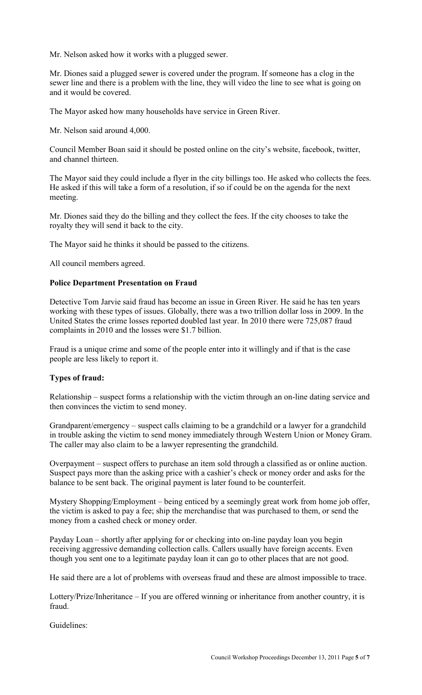Mr. Nelson asked how it works with a plugged sewer.

Mr. Diones said a plugged sewer is covered under the program. If someone has a clog in the sewer line and there is a problem with the line, they will video the line to see what is going on and it would be covered.

The Mayor asked how many households have service in Green River.

Mr. Nelson said around 4,000.

Council Member Boan said it should be posted online on the city's website, facebook, twitter, and channel thirteen.

The Mayor said they could include a flyer in the city billings too. He asked who collects the fees. He asked if this will take a form of a resolution, if so if could be on the agenda for the next meeting.

Mr. Diones said they do the billing and they collect the fees. If the city chooses to take the royalty they will send it back to the city.

The Mayor said he thinks it should be passed to the citizens.

All council members agreed.

### **Police Department Presentation on Fraud**

Detective Tom Jarvie said fraud has become an issue in Green River. He said he has ten years working with these types of issues. Globally, there was a two trillion dollar loss in 2009. In the United States the crime losses reported doubled last year. In 2010 there were 725,087 fraud complaints in 2010 and the losses were \$1.7 billion.

Fraud is a unique crime and some of the people enter into it willingly and if that is the case people are less likely to report it.

## **Types of fraud:**

Relationship – suspect forms a relationship with the victim through an on-line dating service and then convinces the victim to send money.

Grandparent/emergency – suspect calls claiming to be a grandchild or a lawyer for a grandchild in trouble asking the victim to send money immediately through Western Union or Money Gram. The caller may also claim to be a lawyer representing the grandchild.

Overpayment – suspect offers to purchase an item sold through a classified as or online auction. Suspect pays more than the asking price with a cashier's check or money order and asks for the balance to be sent back. The original payment is later found to be counterfeit.

Mystery Shopping/Employment – being enticed by a seemingly great work from home job offer, the victim is asked to pay a fee; ship the merchandise that was purchased to them, or send the money from a cashed check or money order.

Payday Loan – shortly after applying for or checking into on-line payday loan you begin receiving aggressive demanding collection calls. Callers usually have foreign accents. Even though you sent one to a legitimate payday loan it can go to other places that are not good.

He said there are a lot of problems with overseas fraud and these are almost impossible to trace.

Lottery/Prize/Inheritance – If you are offered winning or inheritance from another country, it is fraud.

Guidelines: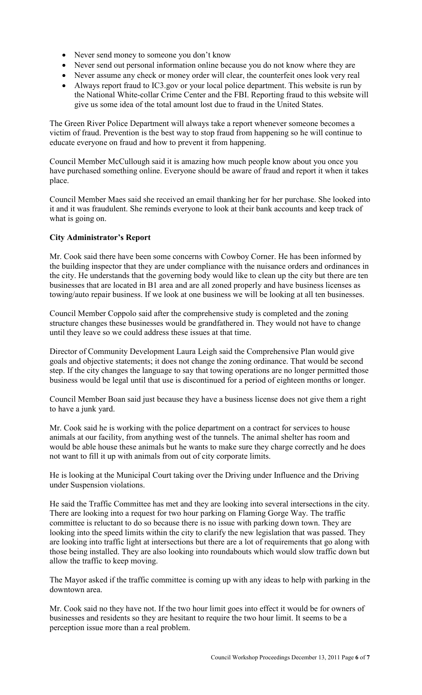- Never send money to someone you don't know
- Never send out personal information online because you do not know where they are
- Never assume any check or money order will clear, the counterfeit ones look very real
- Always report fraud to IC3.gov or your local police department. This website is run by the National White-collar Crime Center and the FBI. Reporting fraud to this website will give us some idea of the total amount lost due to fraud in the United States.

The Green River Police Department will always take a report whenever someone becomes a victim of fraud. Prevention is the best way to stop fraud from happening so he will continue to educate everyone on fraud and how to prevent it from happening.

Council Member McCullough said it is amazing how much people know about you once you have purchased something online. Everyone should be aware of fraud and report it when it takes place.

Council Member Maes said she received an email thanking her for her purchase. She looked into it and it was fraudulent. She reminds everyone to look at their bank accounts and keep track of what is going on.

# **City Administrator's Report**

Mr. Cook said there have been some concerns with Cowboy Corner. He has been informed by the building inspector that they are under compliance with the nuisance orders and ordinances in the city. He understands that the governing body would like to clean up the city but there are ten businesses that are located in B1 area and are all zoned properly and have business licenses as towing/auto repair business. If we look at one business we will be looking at all ten businesses.

Council Member Coppolo said after the comprehensive study is completed and the zoning structure changes these businesses would be grandfathered in. They would not have to change until they leave so we could address these issues at that time.

Director of Community Development Laura Leigh said the Comprehensive Plan would give goals and objective statements; it does not change the zoning ordinance. That would be second step. If the city changes the language to say that towing operations are no longer permitted those business would be legal until that use is discontinued for a period of eighteen months or longer.

Council Member Boan said just because they have a business license does not give them a right to have a junk yard.

Mr. Cook said he is working with the police department on a contract for services to house animals at our facility, from anything west of the tunnels. The animal shelter has room and would be able house these animals but he wants to make sure they charge correctly and he does not want to fill it up with animals from out of city corporate limits.

He is looking at the Municipal Court taking over the Driving under Influence and the Driving under Suspension violations.

He said the Traffic Committee has met and they are looking into several intersections in the city. There are looking into a request for two hour parking on Flaming Gorge Way. The traffic committee is reluctant to do so because there is no issue with parking down town. They are looking into the speed limits within the city to clarify the new legislation that was passed. They are looking into traffic light at intersections but there are a lot of requirements that go along with those being installed. They are also looking into roundabouts which would slow traffic down but allow the traffic to keep moving.

The Mayor asked if the traffic committee is coming up with any ideas to help with parking in the downtown area.

Mr. Cook said no they have not. If the two hour limit goes into effect it would be for owners of businesses and residents so they are hesitant to require the two hour limit. It seems to be a perception issue more than a real problem.